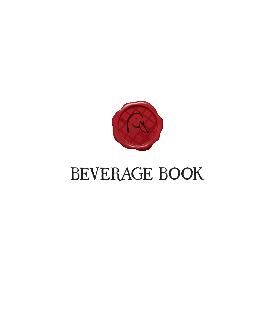

# BEVERAGE BOOK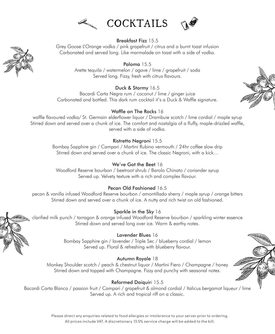

### Breakfast Fizz 15.5

Grey Goose L'Orange vodka / pink grapefruit / citrus and a burnt toast infusion Carbonated and served long. Like marmalade on toast with a side of vodka.

> Paloma 15.5 Arette tequila / watermelon / agave / lime / grapefruit / soda Served long. Fizzy, fresh with citrus flavours.

### Duck & Stormy 16.5

Bacardi Carta Negra rum / coconut / lime / ginger juice Carbonated and bottled. This dark rum cocktail it's a Duck & Waffle signature.

### Waffle on The Rocks 16

waffle flavoured vodka/ St. Germain elderflower liquor / Drambuie scotch / lime cordial / maple syrup Stirred down and served over a chunk of ice. The comfort and nostalgia of a fluffy, maple-drizzled waffle, served with a side of vodka.

### Ristretto Negroni 15.5

Bombay Sapphire gin / Campari / Martini Rubino vermouth / 24hr coffee slow drip Stirred down and served over a chunk of ice. The classic Negroni, with a kick…

### We've Got the Beet 16

Woodford Reserve bourbon / beetroot shrub / Barolo Chinato / coriander syrup Served up. Velvety texture with a rich and complex flavour.

### Pecan Old Fashioned 16.5

pecan & vanilla infused Woodford Reserve bourbon / amontillado sherry / maple syrup / orange bitters Stirred down and served over a chunk of ice. A nutty and rich twist on old fashioned.

#### Sparkle in the Sky 16

clarified milk punch / tarragon & orange infused Woodford Reserve bourbon / sparkling winter essence Stirred down and served long over ice. Warm & earthy notes.

#### Lavender Blues 16

Bombay Sapphire gin / lavender / Triple Sec / blueberry cordial / lemon Served up. Floral & refreshing with blueberry flavour.

#### Autumn Royale 18

Monkey Shoulder scotch / peach & chestnut liquor / Martini Fiero / Champagne / honey Stirred down and topped with Champagne. Fizzy and punchy with seasonal notes.

### Reformed Daiquiri 15.5

Bacardi Carta Blanca / passion fruit / Campari / grapefruit & almond cordial / Italicus bergamot liqueur / lime Served up. A rich and tropical riff on a classic.





Please direct any enquiries related to food allergies or intolerance to your server prior to ordering. All prices include VAT. A discretionary 13.5% service charge will be added to the bill.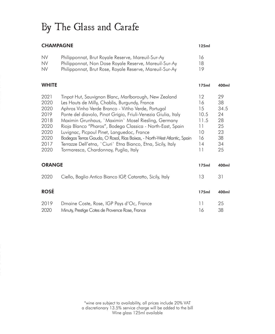## By The Glass and Carafe

### CHAMPAGNE 125ml

| <b>NV</b> | Philipponnat, Brut Royale Reserve, Mareuil-Sur-Ay       | 16 |
|-----------|---------------------------------------------------------|----|
| <b>NV</b> | Philipponnat, Non Dose Royale Reserve, Mareuil-Sur-Ay   | 18 |
| <b>NV</b> | Philipponnat, Brut Rose, Royale Reserve, Mareuil-Sur-Ay | 19 |

| <b>WHITE</b>                                                                 |                                                                                                                                                                                                                                                                                                                                                                                                                                                                                                                                                                                      | 175ml                                                        | 400ml                                                      |
|------------------------------------------------------------------------------|--------------------------------------------------------------------------------------------------------------------------------------------------------------------------------------------------------------------------------------------------------------------------------------------------------------------------------------------------------------------------------------------------------------------------------------------------------------------------------------------------------------------------------------------------------------------------------------|--------------------------------------------------------------|------------------------------------------------------------|
| 2021<br>2020<br>2020<br>2019<br>2018<br>2020<br>2020<br>2020<br>2017<br>2020 | Tinpot Hut, Sauvignon Blanc, Marlborough, New Zealand<br>Les Hauts de Milly, Chablis, Burgundy, France<br>Aphros Vinho Verde Branco - Viñho Verde, Portugal<br>Ponte del diavolo, Pinot Grigio, Friuli-Venezia Giulia, Italy<br>Maximin Grunhaus, `Maximin` Mosel Riesling, Germany<br>Rioja Blanco "Pharos", Bodega Classica - North-East, Spain<br>Luvignac, Picpoul Pinet, Languedoc, France<br>Bodegas Terras Gauda, O Rosal, Rías Baixas, - North-West Atlantic, Spain<br>Terrazze Dell'etna, `Ciuri` Etna Bianco, Etna, Sicily, Italy<br>Tormaresca, Chardonnay, Puglia, Italy | 12<br>16<br>15<br>10.5<br>11.5<br>11<br>10<br>16<br>14<br>11 | 29<br>38<br>34.5<br>24<br>28<br>25<br>23<br>38<br>34<br>25 |
| <b>ORANGE</b>                                                                |                                                                                                                                                                                                                                                                                                                                                                                                                                                                                                                                                                                      | 175ml                                                        | 400ml                                                      |
| 2020                                                                         | Ciello, Baglio Antico Bianco IGP, Cataratto, Sicily, Italy                                                                                                                                                                                                                                                                                                                                                                                                                                                                                                                           | 13                                                           | 31                                                         |
| <b>ROSÉ</b>                                                                  |                                                                                                                                                                                                                                                                                                                                                                                                                                                                                                                                                                                      | 175ml                                                        | 400ml                                                      |
| 2019<br>2020                                                                 | Dmaine Coste, Rose, IGP Pays d'Oc, France<br>Minuty, Prestige Cotes de Provence Rose, France                                                                                                                                                                                                                                                                                                                                                                                                                                                                                         | 11<br>16                                                     | 25<br>38                                                   |

\*wine are subject to availability, all prices include 20% VAT a discretionary 13.5% service charge will be added to the bill Wine glass 125ml available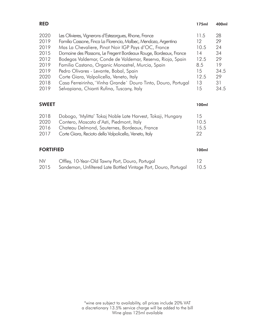| <b>RED</b> |                                                                   | 175ml | 400ml |
|------------|-------------------------------------------------------------------|-------|-------|
| 2020       | Les Olivieres, Vignerons d'Estezargues, Rhone, France             | 11.5  | 28    |
| 2019       | Familia Cassone, Finca La Florencia, Malbec, Mendoza, Argentina   | 12    | 29    |
| 2019       | Mas La Chevaliere, Pinot Noir IGP Pays d'OC, France               | 10.5  | 24    |
| 2015       | Domaine des Plassons, Le Fregent Bordeaux Rouge, Bordeaux, France | 14    | 34    |
| 2012       | Bodegas Valdemar, Conde de Valdemar, Reserva, Rioja, Spain        | 12.5  | 29    |
| 2019       | Familia Castano, Organic Monastrel, Murcia, Spain                 | 8.5   | 19    |
| 2019       | Pedro Olivares - Levante, Bobal, Spain                            | 15    | 34.5  |
| 2020       | Corte Giara, Valpolicella, Veneto, Italy                          | 12.5  | 29    |
| 2018       | Casa Ferreirinha, `Vinha Grande` Douro Tinto, Douro, Portugal     | 13    | 31    |
| 2019       | Selvapiana, Chianti Rufina, Tuscany, Italy                        | 15    | 34.5  |

### SWEET 100ml

| 2018 | Dobogo, 'Mylitta' Tokaj Noble Late Harvest, Tokaji, Hungary | 15   |
|------|-------------------------------------------------------------|------|
| 2020 | Contero, Moscato d'Asti, Piedmont, Italy                    | 10.5 |
| 2016 | Chateau Delmond, Sauternes, Bordeaux, France                | 15.5 |
| 2017 | Corte Giara, Recioto della Valpolicella, Veneto, Italy      | 22   |
|      |                                                             |      |

### FORTIFIED 100ml

| <b>NV</b> | Offley, 10-Year-Old Tawny Port, Douro, Portugal                 |      |
|-----------|-----------------------------------------------------------------|------|
| 2015      | Sandeman, Unfiltered Late Bottled Vintage Port, Douro, Portugal | 10.5 |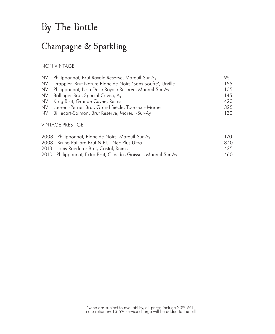### By The Bottle

### Champagne & Sparkling

#### NON VINTAGE

| NV.       | Philipponnat, Brut Royale Reserve, Mareuil-Sur-Ay           | 95   |
|-----------|-------------------------------------------------------------|------|
| <b>NV</b> | Drappier, Brut Nature Blanc de Noirs 'Sans Soufre', Urville | 155. |
| <b>NV</b> | Philipponnat, Non Dose Royale Reserve, Marevil-Sur-Ay       | 105  |
| NV.       | Bollinger Brut, Special Cuvée, Aÿ                           | 145  |
| <b>NV</b> | Krug Brut, Grande Cuvée, Reims                              | 420  |
| NV.       | Laurent-Perrier Brut, Grand Siècle, Tours-sur-Marne         | 325  |
| NV.       | Billiecart-Salmon, Brut Reserve, Mareuil-Sur-Ay             | 130  |
|           |                                                             |      |
|           | <b>VINTAGE PRESTIGE</b>                                     |      |

#### 2008 Philipponnat, Blanc de Noirs, Mareuil-Sur-Ay 170 2003 Bruno Paillard Brut N.P.U. Nec Plus Ultra 340 2013 Louis Roederer Brut, Cristal, Reims 425 2010 Philipponnat, Extra Brut, Clos des Goisses, Mareuil-Sur-Ay 460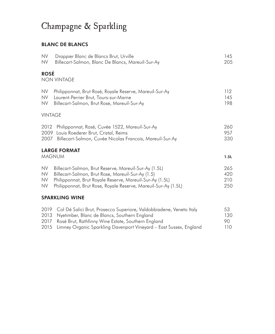### Champagne & Sparkling

### BLANC DE BLANCS

| <b>NV</b>      | Drappier Blanc de Blancs Brut, Urville                              | 145  |
|----------------|---------------------------------------------------------------------|------|
| <b>NV</b>      | Billecart-Salmon, Blanc De Blancs, Marevil-Sur-Ay                   | 205  |
| <b>ROSÉ</b>    | <b>NON VINTAGE</b>                                                  |      |
| <b>NV</b>      | Philipponnat, Brut Rosé, Royale Reserve, Mareuil-Sur-Ay             | 112  |
| <b>NV</b>      | Laurent-Perrier Brut, Tours-sur-Marne                               | 145  |
| <b>NV</b>      | Billecart-Salmon, Brut Rose, Mareuil-Sur-Ay                         | 198  |
| <b>VINTAGE</b> |                                                                     |      |
| 2012           | Philipponnat, Rosé, Cuvée 1522, Mareuil-Sur-Ay                      | 260  |
| 2009           | Louis Roederer Brut, Cristal, Reims                                 | 957  |
| 2007           | Billecart-Salmon, Cuvée Nicolas Francois, Mareuil-Sur-Ay            | 330  |
|                | <b>LARGE FORMAT</b><br><b>MAGNUM</b>                                | 1.5L |
| <b>NV</b>      | Billecart-Salmon, Brut Reserve, Mareuil-Sur-Ay (1.5L)               | 265  |
| <b>NV</b>      | Billecart-Salmon, Brut Rose, Mareuil-Sur-Ay (1.5)                   | 420  |
| <b>NV</b>      | Philipponnat, Brut Royale Reserve, Mareuil-Sur-Ay (1.5L)            | 210  |
| <b>NV</b>      | Philipponnat, Brut Rose, Royale Reserve, Mareuil-Sur-Ay (1.5L)      | 250  |
|                | <b>SPARKLING WINE</b>                                               |      |
| 2019           | Col Dé Salici Brut, Prosecco Superiore, Valdobbiadene, Veneto Italy | 53   |
| 2013           | Nyetimber, Blanc de Blancs, Southern England                        | 130  |
| 2017           | Rosé Brut, Rathfinny Wine Estate, Southern England                  | 90   |
| 2015           | Limney Organic Sparkling Davenport Vineyard - East Sussex, England  | 110  |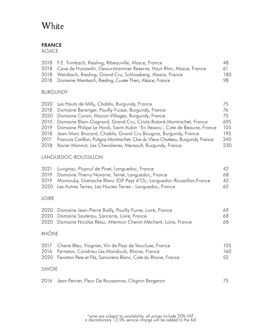### **White**

### FRANCE

ALSACE

| 2018 F.E. Trimbach, Riesling, Ribeauville, Alsace, France                | 48  |
|--------------------------------------------------------------------------|-----|
| 2018 Cave de Hunawihr, Gewurztraminer Reserve, Haut-Rhin, Alsace, France | 61  |
| 2018 Weinbach, Riesling, Grand Cru, Schlossberg, Alsace, France          | 180 |
| 2018 Domaine Weinbach, Riesling, Cuvée Theo, Alsace, France              | 98. |

### BURGUNDY

| 2020 Les Hauts de Milly, Chablis, Burgundy, France                                     | 75  |
|----------------------------------------------------------------------------------------|-----|
| 2018 Domaine Beranger, Pouilly-Fuisse, Burgundy, France                                | 76  |
| 2020 Domaine Corsin, Macon-Villages, Burgundy, France                                  | 75  |
| 2010 Domaine Blain-Gagnard, Grand Cru, Criots-Batard-Montrachet, France                | 695 |
| 2019 Domaine Philipe Le Hardi, Saint-Aubin `En Vesavu`, Cote de Beaune, France         | 105 |
| 2018 Jean-Marc Brocard, Chablis, Grand Cru Bougros, Burgundy, France                   | 195 |
| Francois Carillon, Puligny-Montrachet, Clos du Vieux Chateau, Burgundy, France<br>2017 | 240 |
| 2018 Xavier Monnot, Les Chevalieres, Mersault, Burgundy, France                        | 230 |
|                                                                                        |     |

### LANGUEDOC-ROUSSILLON

| 2021 Luvignac, Picpoul de Pinet, Languedoc, France                        | 42  |
|---------------------------------------------------------------------------|-----|
| 2019 Domaine Thierry Navarre, Terret, Languedoc, France                   | 68  |
| 2019 Monrouby, Grenache Blanc IGP Pays d'Oc, Languedoc-Roussillon, France | 42  |
| 2020 Les Autres Terres, Les Hautes Terres - Languedoc, France             | 62. |

### LOIRE

| 2020 Domaine Jean-Pierre Bailly, Pouilly-Fume, Loire, France       | 69. |
|--------------------------------------------------------------------|-----|
| 2020 Domaine Sauterau, Sancerre, Loire, France                     | 68. |
| 2020 Domaine Nicolas Réau, Attention Chenin Méchant, Loire, France | 68  |

### RHÔNE

| 2017 Chene Bleu, Viognier, Vin de Pays de Vaucluse, France        | 10.5 |
|-------------------------------------------------------------------|------|
| 2016 Ferraton, Condireu Les Mandouls, Rhone, France               | 160  |
| 2020 Ferraton Pere et Fils, Samorens Blanc, Cote du Rhone, France | 52.  |
|                                                                   |      |

### SAVOIE

|  |  | 2016 Jean Perrier, Fleur De Roussanne, Chignin Bergeron |  |  |
|--|--|---------------------------------------------------------|--|--|
|--|--|---------------------------------------------------------|--|--|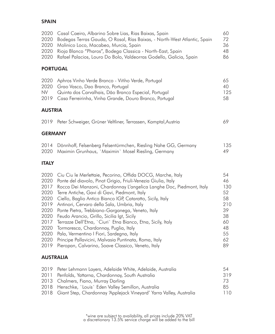### **SPAIN**

| 2020<br>2020<br>2020<br>2020<br>2020 | Casal Caeiro, Albarino Sobre Lias, Rias Baixas, Spain<br>Bodegas Terras Gauda, O Rosal, Rías Baixas, - North-West Atlantic, Spain<br>Molinico Loco, Macabeo, Murcia, Spain<br>Rioja Blanco "Pharos", Bodega Classica - North-East, Spain<br>Rafael Palacios, Louro Do Bolo, Valdeorras Godello, Galicia, Spain | 60<br>72<br>36<br>48<br>86 |
|--------------------------------------|----------------------------------------------------------------------------------------------------------------------------------------------------------------------------------------------------------------------------------------------------------------------------------------------------------------|----------------------------|
| <b>PORTUGAL</b>                      |                                                                                                                                                                                                                                                                                                                |                            |
| 2020<br>2020<br><b>NV</b><br>2019    | Aphros Vinho Verde Branco - Viñho Verde, Portugal<br>Grao Vasco, Dao Branco, Portugal<br>Quinta dos Carvalhais, Dão Branco Especial, Portugal<br>Casa Ferreirinha, Vinha Grande, Douro Branco, Portugal                                                                                                        | 65<br>40<br>125<br>58      |
| <b>AUSTRIA</b>                       |                                                                                                                                                                                                                                                                                                                |                            |
| 2019                                 | Peter Schweiger, Grüner Veltliner, Terrassen, Kamptal, Austria                                                                                                                                                                                                                                                 | 69                         |
| <b>GERMANY</b>                       |                                                                                                                                                                                                                                                                                                                |                            |
| 2014<br>2020                         | Dönnhoff, Felsenberg Felsentürmchen, Riesling Nahe GG, Germany<br>Maximin Grunhaus, 'Maximin' Mosel Riesling, Germany                                                                                                                                                                                          | 135<br>49                  |
| <b>ITALY</b>                         |                                                                                                                                                                                                                                                                                                                |                            |
| 2020<br>2020<br>2017                 | Ciu Ciu le Merlettaie, Pecorino, Offida DOCG, Marche, Italy<br>Ponte del diavolo, Pinot Grigio, Friuli-Venezia Giulia, Italy<br>Rocca Dei Manzoni, Chardonnay L'angelica Langhe Doc, Piedmont, Italy                                                                                                           | 54<br>46<br>130            |

| 2017 - Rocca Dei Manzoni, Chardonnay L'angelica Langhe Doc, Piedmont, Italy | 13U |
|-----------------------------------------------------------------------------|-----|
| 2020 Terre Antiche, Gavi di Gavi, Piedmont, Italy                           | 52  |
| 2020 Ciello, Baglio Antico Bianco IGP, Cataratto, Sicily, Italy             | 58  |
| 2019 Antinori, Cervaro della Sala, Umbria, Italy                            | 210 |
| 2020 Ponte Pietra, Trebbiano-Garganega, Veneto, Italy                       | 39  |
| 2020 Feudo Arancio, Grillo, Sicilia Igt, Sicily                             | 38  |
| 2017 Terrazze Dell'Etna, `Ciuri` Etna Bianco, Etna, Sicily, Italy           | 60  |
| 2020 Tormaresca, Chardonnay, Puglia, Italy                                  | 48  |
| 2020 Pala, Vermentino I Fiori, Sardegna, Italy                              | 55  |
| 2020 Principe Pallavicini, Malvasia Puntinata, Roma, Italy                  | 62  |
| 2019 Pieropan, Calvarino, Soave Classico, Veneto, Italy                     | 89  |
|                                                                             |     |

### AUSTRALIA

| 2019 Peter Lehmann Layers, Adelaide White, Adelaide, Australia           | 54   |
|--------------------------------------------------------------------------|------|
| 2011 Penfolds, Yattarna, Chardonnay, South Australia                     | 319  |
| 2013 Chalmers, Fiano, Murray Darling                                     | 73   |
| 2018 Henschke, `Louis` Eden Valley Semillon, Australia                   | 85   |
| 2018 Giant Step, Chardonnay 'Applejack Vineyard' Yarra Valley, Australia | 110. |
|                                                                          |      |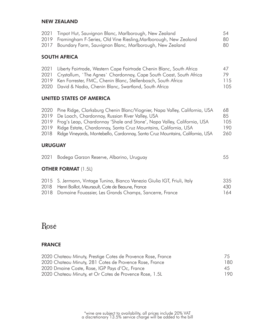#### NEW ZEALAND

| 2021 Tinpot Hut, Sauvignon Blanc, Marlborough, New Zealand            | 54  |
|-----------------------------------------------------------------------|-----|
| 2019 Framingham F-Series, Old Vine Riesling, Marlborough, New Zealand | -80 |
| 2017 Boundary Farm, Sauvignon Blanc, Marlborough, New Zealand         | 80  |

### SOUTH AFRICA

| 2021 Liberty Fairtrade, Western Cape Fairtrade Chenin Blanc, South Africa | 47  |
|---------------------------------------------------------------------------|-----|
| 2021 Crystallum, `The Agnes` Chardonnay, Cape South Coast, South Africa   | 79. |
| 2019 Ken Forrester, FMC, Chenin Blanc, Stellenbosch, South Africa         | 115 |
| 2020 David & Nadia, Chenin Blanc, Swartland, South Africa                 | 105 |

#### UNITED STATES OF AMERICA

| 2020 Pine Ridge, Clarksburg Chenin Blanc/Viognier, Napa Valley, California, USA    | 68   |
|------------------------------------------------------------------------------------|------|
| 2019 De Loach, Chardonnay, Russian River Valley, USA                               | 85   |
| 2019 Frog's Leap, Chardonnay 'Shale and Stone', Napa Valley, California, USA       | 105  |
| 2019 Ridge Estate, Chardonnay, Santa Cruz Mountains, California, USA               | 190. |
| 2018 Ridge Vineyards, Montebello, Cardonnay, Santa Cruz Mountains, California, USA | 260  |
|                                                                                    |      |
|                                                                                    |      |

#### URUGUAY

|  | 2021 Bodega Garzon Reserve, Albarino, Uruguay |  |
|--|-----------------------------------------------|--|
|--|-----------------------------------------------|--|

### **OTHER FORMAT (1.5L)**

| 2015 S. Jermann, Vintage Tunina, Bianco Venezia Giulia IGT, Friuli, Italy | 335 |
|---------------------------------------------------------------------------|-----|
| 2018 Henri Boillot, Meursault, Cote de Beaune, France                     | 430 |
| 2018 Domaine Fouassier, Les Grands Champs, Sancerre, France               | 164 |

### Rosé

### FRANCE

| 2020 Chateau Minuty, Prestige Cotes de Provence Rose, France | 75   |
|--------------------------------------------------------------|------|
| 2020 Chateau Minuty, 281 Cotes de Provence Rose, France      | 180  |
| 2020 Dmaine Coste, Rose, IGP Pays d'Oc, France               | 45   |
| 2020 Chateau Minuty, et Or Cotes de Provence Rose, 1.5L      | 190. |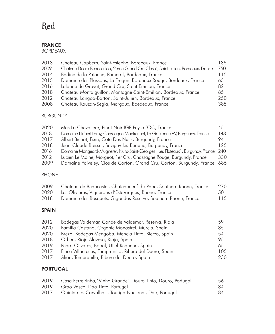### Red

### FRANCE

BORDEAUX

| 2013 | Chateau Capbern, Saint-Estephe, Bordeaux, France                                 | 135. |
|------|----------------------------------------------------------------------------------|------|
| 2009 | Chateau Ducru-Beaucaillou, 2eme Grand Cru Classé, Saint-Julien, Bordeaux, France | 750  |
| 2014 | Badine de la Patache, Pomerol, Bordeaux, France                                  | 115  |
| 2015 | Domaine des Plassons, Le Fregent Bordeaux Rouge, Bordeaux, France                | 65   |
| 2016 | Lalande de Gravet, Grand Cru, Saint-Emilion, France                              | 82   |
| 2018 | Chateau Montaiquillon, Montagne-Saint-Emilion, Bordeaux, France                  | 85   |
| 2012 | Chateau Langoa-Barton, Saint-Julien, Bordeaux, France                            | 250  |
| 2008 | Chateau Rauzan-Segla, Margaux, Boedeaux, France                                  | 385  |

### BURGUNDY

| 2020 | Mas La Chevaliere, Pinot Noir IGP Pays d'OC, France                             | 45   |
|------|---------------------------------------------------------------------------------|------|
| 2018 | Domaine Hubert Lamy, Chassagne Montrachet, La Goujonne W, Burgundy, France      | 148  |
| 2017 | Albert Bichot, Fixin, Cote Des Nuits, Burgundy, France                          | 94   |
| 2018 | Jean-Claude Boisset, Savigny-les-Beaune, Burgundy, France                       | 125. |
| 2016 | Domaine Mongeard-Mugneret, Nuits-Saint-Georges `Les Plateaux`, Burgundy, France | 240  |
| 2012 | Lucien Le Moine, Morgeot, 1er Cru, Chassagne Rouge, Burgundy, France            | 330  |
| 2009 | Domaine Faiveley, Clos de Corton, Grand Cru, Corton, Burgundy, France           | 685  |
|      |                                                                                 |      |

### RHÔNE

| 2009 | Chateau de Beaucastel, Chateauneuf-du-Pape, Southern Rhone, France | 270 |
|------|--------------------------------------------------------------------|-----|
| 2020 | Les Olivieres, Vignerons d'Estezargues, Rhone, France              | 50  |
| 2018 | Domaine des Bosquets, Gigondas Reserve, Southern Rhone, France     | 115 |

### SPAIN

| 2012 | Bodegas Valdemar, Conde de Valdemar, Reserva, Rioja     | 59  |
|------|---------------------------------------------------------|-----|
| 2020 | Familia Castano, Organic Monastrel, Murcia, Spain       | 35  |
| 2020 | Brezo, Bodegas Mengoba, Mencia Tinto, Bierzo, Spain     | 54  |
| 2018 | Orben, Rioja Alavesa, Rioja, Spain                      | 95  |
| 2019 | Pedro Olivares, Bobal, Utiel-Requena, Spain             | 65  |
| 2017 | Finca Villacreces, Tempranillo, Ribera del Duero, Spain | 105 |
| 2017 | Alion, Tempranillo, Ribera del Duero, Spain             | 230 |

### PORTUGAL

| 2019 | Casa Ferreirinha, `Vinha Grande` Douro Tinto, Douro, Portugal | 56 |
|------|---------------------------------------------------------------|----|
| 2019 | Grao Vasco, Dao Tinto, Portugal                               | 34 |
| 2017 | Quinta dos Carvalhais, Touriga Nacional, Dao, Portugal        | 84 |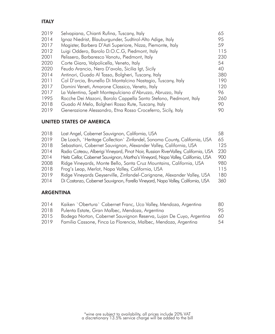### ITALY

| 2019 | Selvapiana, Chianti Rufina, Tuscany, Italy                        | 65  |
|------|-------------------------------------------------------------------|-----|
| 2014 | Ignaz Niedrist, Blauburgunder, Sudtirol-Alto Adige, Italy         | 95  |
| 2017 | Magister, Barbera D'Asti Superiore, Nizza, Piemonte, Italy        | 59  |
| 2012 | Luigi Oddero, Barolo D.O.C.G, Piedmont, Italy                     | 115 |
| 2001 | Pelissero, Barbaresco Vanotu, Piedmont, Italy                     | 230 |
| 2020 | Corte Giara, Valpolicella, Veneto, Italy                          | 54  |
| 2020 | Feudo Arancio, Nero D'avola, Sicilia Igt, Sicily                  | 40  |
| 2014 | Antinori, Guado Al Tasso, Bolgheri, Tuscany, Italy                | 380 |
| 2011 | Col D'orcia, Brunello Di Montalcino Nastagio, Tuscany, Italy      | 190 |
| 2017 | Domini Veneti, Amarone Classico, Veneto, Italy                    | 120 |
| 2017 | La Valentina, Spelt Montepulciano d'Abruzzo, Abruzzo, Italy       | 96  |
| 1995 | Rocche Dei Mazoni, Barolo Cappella Santo Stefano, Piedmont, Italy | 260 |
| 2018 | Guado Al Melo, Bolgheri Rosso Rute, Tuscany, Italy                | 90  |
| 2019 | Generazione Alessandro, Etna Rosso Croceferro, Sicily, Italy      | 90  |

### UNITED STATES OF AMERICA

| 2018 | Lost Angel, Cabernet Sauvignon, California, USA                                   | 58  |
|------|-----------------------------------------------------------------------------------|-----|
| 2019 | De Loach, `Heritage Collection` Zinfandel, Sonoma County, California, USA         | 65  |
| 2018 | Sebastiani, Cabernet Sauvignon, Alexander Valley, California, USA                 | 125 |
| 2014 | Radio Coteau, Alberigi Vineyard, Pinot Noir, Russian RiverValley, California, USA | 230 |
| 2014 | Heitz Cellar, Cabernet Sauvignon, Martha's Vineyard, Napa Valley, California, USA | 900 |
| 2008 | Ridge Vineyards, Monte Bello, Santa Cruz Mountains, California, USA               | 980 |
| 2018 | Frog's Leap, Merlot, Napa Valley, California, USA                                 | 115 |
| 2019 | Ridge Vineyards Geyserville, Zinfandel-Carignane, Alexander Valley, USA           | 180 |
| 2014 | Di Costanzo, Cabernet Sauvignon, Farella Vineyard, Napa Valley, California, USA   | 360 |
|      |                                                                                   |     |

### ARGENTINA

| Kaiken 'Obertura' Cabernet Franc, Uco Valley, Mendoza, Argentina<br>80    |
|---------------------------------------------------------------------------|
| 95                                                                        |
| Bodega Norton, Cabernet Sauvignon Reserva, Lujan De Cuyo, Argentina<br>60 |
| 54                                                                        |
|                                                                           |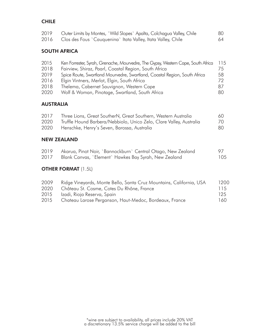### **CHILE**

| 2019 | Outer Limits by Montes, `Wild Slopes` Apalta, Colchagua Valley, Chile | 80 |
|------|-----------------------------------------------------------------------|----|
| 2016 | Clos des Fous `Cauquenina` Itata Valley, Itata Valley, Chile          | 64 |

### SOUTH AFRICA

| 2015 | Ken Forrester, Syrah, Grenache, Mourvedre, The Gypsy, Western Cape, South Africa | 115 |
|------|----------------------------------------------------------------------------------|-----|
| 2018 | Fairview, Shiraz, Paarl, Coastal Region, South Africa                            | 75  |
| 2019 | Spice Route, Swartland Mourvedre, Swartland, Coastal Region, South Africa        | 58  |
| 2016 | Elgin Vintners, Merlot, Elgin, South Africa                                      | 72  |
| 2018 | Thelema, Cabernet Sauvignon, Western Cape                                        | 87  |
| 2020 | Wolf & Woman, Pinotage, Swartland, South Africa                                  | 80  |

### AUSTRALIA

| 2017 | Three Lions, Great SoutherN, Great Southern, Western Australia      | 60 |
|------|---------------------------------------------------------------------|----|
| 2020 | Truffle Hound Barbera/Nebbiolo, Unico Zelo, Clare Valley, Australia | 70 |
| 2020 | Henschke, Henry's Seven, Barossa, Australia                         | 80 |

### NEW ZEALAND

| 2019 | Akarua, Pinot Noir, `Bannockburn` Central Otago, New Zealand | 97  |
|------|--------------------------------------------------------------|-----|
| 2017 | Blank Canvas, `Element` Hawkes Bay Syrah, New Zealand        | 105 |

### **OTHER FORMAT (1.5L)**

| 2009 | Ridge Vineyards, Monte Bello, Santa Cruz Mountains, California, USA | 1200 |
|------|---------------------------------------------------------------------|------|
| 2020 | Château St. Cosme, Cotes Du Rhône, France                           | 115  |
| 2015 | Izadi, Rioja Reserva, Spain                                         | 125  |
| 2015 | Chateau Larose Perganson, Haut-Medoc, Bordeaux, France              | 160  |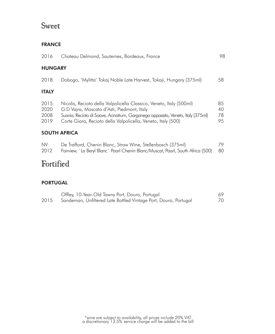### Sweet

### FRANCE

| 2016                         | Chateau Delmond, Sauternes, Bordeaux, France                                                                                                                                                                                                                         | 98                   |  |
|------------------------------|----------------------------------------------------------------------------------------------------------------------------------------------------------------------------------------------------------------------------------------------------------------------|----------------------|--|
| <b>HUNGARY</b>               |                                                                                                                                                                                                                                                                      |                      |  |
| 2018                         | Dobogo, 'Mylitta' Tokaj Noble Late Harvest, Tokaji, Hungary (375ml)                                                                                                                                                                                                  | 58                   |  |
| <b>ITALY</b>                 |                                                                                                                                                                                                                                                                      |                      |  |
| 2015<br>2020<br>2008<br>2019 | Nicolis, Recioto della Valpolicella Classico, Veneto, Italy (500ml)<br>G.D Vajra, Moscato d'Asti, Piedmont, Italy<br>Suavia, Recioto di Soave, Acinatium, Garganega appassita, Veneto, Italy (375ml)<br>Corte Giara, Recioto della Valpolicella, Veneto, Italy (500) | 85<br>40<br>78<br>95 |  |
| <b>SOUTH AFRICA</b>          |                                                                                                                                                                                                                                                                      |                      |  |
| <b>NV</b><br>2012            | De Trafford, Chenin Blanc, Straw Wine, Stellenbosch (375ml)<br>Fairview, `La Beryl Blanc` Paarl Chenin Blanc/Muscat, Paarl, South Africa (500)                                                                                                                       | 79.<br>80            |  |

### Fortified

### PORTUGAL

|      | Offley, 10-Year-Old Tawny Port, Douro, Portugal                 | 69 |
|------|-----------------------------------------------------------------|----|
| 2015 | Sandeman, Unfiltered Late Bottled Vintage Port, Douro, Portugal | 70 |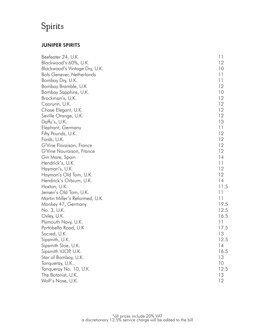### Spirits

### JUNIPER SPIRITS

| Beefeater 24, U.K.               | 11   |
|----------------------------------|------|
| Blackwood's 60%, U.K.            | 12   |
| Blackwood's Vintage Dry, U.K.    | 10   |
| <b>Bols Genever, Netherlands</b> | 11   |
| Bombay Dry, U.K.                 | 11   |
| Bombay Bramble, U.K              | 12   |
| Bombay Sapphire, U.K.            | 10   |
| Brockman's, U.K.                 | 12   |
| Caorunn, U.K.                    | 12   |
| Chase Elegant, U.K.              | 12   |
| Seville Orange, U.K.             | 12   |
| Daffy's, U.K.                    | 13   |
| Elephant, Germany                | 11   |
| Fifty Pounds, U.K.               | 12   |
| Fords, U.K.                      | 12   |
| G'Vine Floraison, France         | 12   |
| G'Vine Nouraison, France         | 12   |
| Gin Mare, Spain                  | 14   |
| Hendrick's, U.K.                 | 11   |
| Hayman's, U.K.                   | 12   |
| Hayman's Old Tom, U.K.           | 12   |
| Hendrick's Orbium, U.K.          | 14   |
| Hoxton, U.K.                     | 11.5 |
| Jensen's Old Tom, U.K.           | 11   |
| Martin Miller's Reformed, U.K.   | 11   |
| Monkey 47, Germany               | 19.5 |
| No. 3, U.K.                      | 12.5 |
| Oxley, U.K.                      | 16.5 |
| Plymouth Navy, U.K.              | 11   |
| Portobello Road, U.K             | 17.5 |
| Sacred, U.K                      | 13   |
| Sipsmith, U.K.                   | 12.5 |
| Sipsmith Sloe, U.K.              | 14   |
| Sipsmith VJOP, U.K.              | 16.5 |
| Star of Bombay, U.K.             | 13   |
| Tanqueray, U.K                   | 10   |
| Tanqueray No. 10, U.K.           | 12.5 |
| The Botanist, U.K.               | 13   |
| Wolf's Nose, U.K.                | 12   |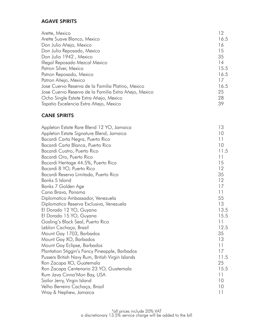### AGAVE SPIRITS

| Arette, Mexico                                        | 12   |
|-------------------------------------------------------|------|
| Arette Suave Blanco, Mexico                           | 16.5 |
| Don Julio Añejo, Mexico                               | 16   |
| Don Julio Reposado, Mexico                            | 15   |
| Don Julio 1942, Mexico                                | 35   |
| Illegal Reposado Mezcal Mexico                        | 14   |
| Patron Silver, Mexico                                 | 15.5 |
| Patron Reposado, Mexico                               | 16.5 |
| Patron Añejo, Mexico                                  | 17   |
| Jose Cuervo Reserva de la Familia Platino, Mexico     | 16.5 |
| Jose Cuervo Reserva de la Familia Extra Añejo, Mexico | 25   |
| Ocho Single Estate Extra Añejo, Mexico                | 28   |
| Tapatio Excelencia Extra Añejo, Mexico                | 39   |

### CANE SPIRITS

| Appleton Estate Rare Blend 12 YO, Jamaica        | 13   |
|--------------------------------------------------|------|
| Appleton Estate Signature Blend, Jamaica         | 10   |
| Bacardi Carta Negra, Puerto Rico                 | 11   |
| Bacardi Carta Blanca, Puerto Rico                | 10   |
| Bacardi Cuatro, Puerto Rico                      | 11.5 |
| Bacardi Oro, Puerto Rico                         | 11   |
| Bacardi Heritage 44.5%, Puerto Rico              | 15   |
| Bacardi 8 YO, Puerto Rico                        | 12   |
| Bacardi Reserva Limitada, Puerto Rico            | 35   |
| Banks 5 Island                                   | 12   |
| Banks 7 Golden Age                               | 17   |
| Cana Brava, Panama                               | 11   |
| Diplomatico Ambassador, Venezuela                | 55   |
| Diplomatico Reserva Exclusiva, Venezuela         | 13   |
| El Dorado 12 YO, Guyana                          | 13.5 |
| El Dorado 15 YO, Guyana                          | 15.5 |
| Gosling's Black Seal, Puerto Rico                | 11   |
| Leblon Cachaça, Brazil                           | 12.5 |
| Mount Gay 1703, Barbados                         | 35   |
| Mount Gay XO, Barbados                           | 13   |
| Mount Gay Eclipse, Barbados                      | 11   |
| Plantation Stiggin's Fancy Pineapple, Barbados   | 17   |
| Pussers British Navy Rum, British Virgin Islands | 11.5 |
| Ron Zacapa XO, Guatemala                         | 25   |
| Ron Zacapa Centenario 23 YO, Guatemala           | 15.5 |
| Rum Java Cinna'Mon Bay, USA                      | 11   |
| Sailor Jerry, Virgin Island                      | 10   |
| Velho Berreiro Cachaça, Brazil                   | 10   |
| Wray & Nephew, Jamaica                           | 11   |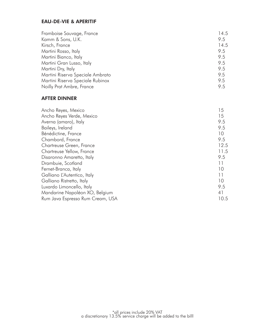### EAU-DE-VIE & APERITIF

| Framboise Sauvage, France        | 14.5 |
|----------------------------------|------|
| Kamm & Sons, U.K.                | 9.5  |
| Kirsch, France                   | 14.5 |
| Martini Rosso, Italy             | 9.5  |
| Martini Bianco, Italy            | 9.5  |
| Martini Gran Lusso, Italy        | 9.5  |
| Martini Dry, Italy               | 9.5  |
| Martini Riserva Speciale Ambrato | 9.5  |
| Martini Riserva Speciale Rubinox | 9.5  |
| Noilly Prat Ambre, France        | 9.5  |

### AFTER DINNER

| Ancho Reyes, Mexico              | 15   |
|----------------------------------|------|
| Ancho Reyes Verde, Mexico        | 15   |
| Averna (amaro), Italy            | 9.5  |
| Baileys, Ireland                 | 9.5  |
| Bénédictine, France              | 10   |
| Chambord, France                 | 9.5  |
| Chartreuse Green, France         | 12.5 |
| Chartreuse Yellow, France        | 11.5 |
| Disaronno Amaretto, Italy        | 9.5  |
| Drambuie, Scotland               | 11   |
| Fernet-Branca, Italy             | 10   |
| Galliano L'Autentico, Italy      | 11   |
| Galliano Ristretto, Italy        | 10   |
| Luxardo Limoncello, Italy        | 9.5  |
| Mandarine Napoléon XO, Belgium   | 41   |
| Rum Java Espresso Rum Cream, USA | 10.5 |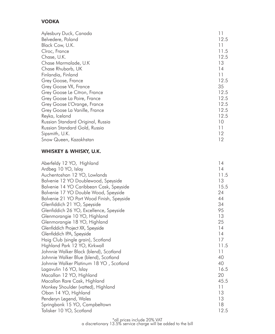### VODKA

| Aylesbury Duck, Canada            | 11   |
|-----------------------------------|------|
| Belvedere, Poland                 | 12.5 |
| Black Cow, U.K.                   | 11   |
| Cîroc, France                     | 11.5 |
| Chase, U.K.                       | 12.5 |
| Chase Marmalade, U.K.             | 13   |
| Chase Rhubarb, UK                 | 14   |
| Finlandia, Finland                | 11   |
| Grey Goose, France                | 12.5 |
| Grey Goose VX, France             | 35   |
| Grey Goose Le Citron, France      | 12.5 |
| Grey Goose La Poire, France       | 12.5 |
| Grey Goose L'Orange, France       | 12.5 |
| Grey Goose La Vanille, France     | 12.5 |
| Reyka, Iceland                    | 12.5 |
| Russian Standard Original, Russia | 10   |
| Russian Standard Gold, Russia     | 11   |
| Sipsmith, U.K.                    | 12   |
| Snow Queen, Kazakhstan            | 12   |

### WHISKEY & WHISKY, U.K.

| Aberfeldy 12 YO, Highland                 | 14   |
|-------------------------------------------|------|
| Ardbeg 10 YO, Islay                       | 14   |
| Auchentoshan 12 YO, Lowlands              | 11.5 |
| Balvenie 12 YO Doublewood, Speyside       | 13   |
| Balvenie 14 YO Caribbean Cask, Speyside   | 15.5 |
| Balvenie 17 YO Double Wood, Speyside      | 24   |
| Balvenie 21 YO Port Wood Finish, Speyside | 44   |
| Glenfiddich 21 YO, Speyside               | 34   |
| Glenfiddich 26 YO, Excellence, Speyside   | 95   |
| Glenmorangie 10 YO, Highland              | 13   |
| Glenmorangie 18 YO, Highland              | 25   |
| Glenfiddich Project XX, Speyside          | 14   |
| Glenfiddich IPA, Speyside                 | 14   |
| Haig Club (single grain), Scotland        | 17   |
| Highland Park 12 YO, Kirkwall             | 11.5 |
| Johnnie Walker Black (blend), Scotland    | 11   |
| Johnnie Walker Blue (blend), Scotland     | 40   |
| Johnnie Walker Platinum 18 YO, Scotland   | 40   |
| Lagavulin 16 YO, Islay                    | 16.5 |
| Macallan 12 YO, Highland                  | 20   |
| Macallan Rare Cask, Highland              | 45.5 |
| Monkey Shoulder (vatted), Highland        | 11   |
| Oban 14 YO, Highland                      | 13   |
| Penderyn Legend, Wales                    | 13   |
| Springbank 15 YO, Campbeltown             | 18   |
| Talisker 10 YO, Scotland                  | 12.5 |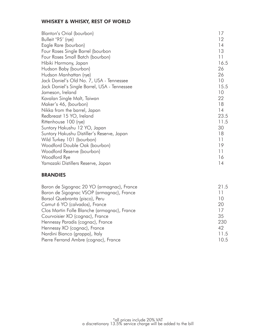### WHISKEY & WHISKY, REST OF WORLD

| Blanton's Orial (bourbon)                    | 17   |
|----------------------------------------------|------|
| Bulleit '95' (rye)                           | 12   |
| Eagle Rare (bourbon)                         | 14   |
| Four Roses Single Barrel (bourbon            | 13   |
| Four Roses Small Batch (bourbon)             | 11   |
| Hibiki Harmony, Japan                        | 16.5 |
| Hudson Baby (bourbon)                        | 26   |
| Hudson Manhattan (rye)                       | 26   |
| Jack Daniel's Old No. 7, USA - Tennessee     | 10   |
| Jack Daniel's Single Barrel, USA - Tennessee | 15.5 |
| Jameson, Ireland                             | 10   |
| Kavalan Single Malt, Taiwan                  | 22   |
| Maker's 46, (bourbon)                        | 18   |
| Nikka from the barrel, Japan                 | 14   |
| Redbreast 15 YO, Ireland                     | 23.5 |
| Rittenhouse 100 (rye)                        | 11.5 |
| Suntory Hakushu 12 YO, Japan                 | 30   |
| Suntory Hakushu Distiller's Reserve, Japan   | 18   |
| Wild Turkey 101 (bourbon)                    | 11   |
| Woodford Double Oak (bourbon)                | 19   |
| Woodford Reserve (bourbon)                   | 11   |
| Woodford Rye                                 | 16   |
| Yamazaki Distillers Reserve, Japan           | 14   |

### BRANDIES

| Baron de Sigognac 20 YO (armagnac), France   | 21.5 |
|----------------------------------------------|------|
| Baron de Sigognac VSOP (armagnac), France    | 11   |
| Barsol Quebranta (pisco), Peru               | 10   |
| Camut 6 YO (calvados), France                | 20   |
| Clos Martin Folle Blanche (armagnac), France | 17   |
| Courvoisier XO (cognac), France              | 35   |
| Hennessy Paradis (cognac), France            | 230  |
| Hennessy XO (cognac), France                 | 42   |
| Nardini Bianco (grappa), Italy               | 11.5 |
| Pierre Ferrand Ambre (cognac), France        | 10.5 |